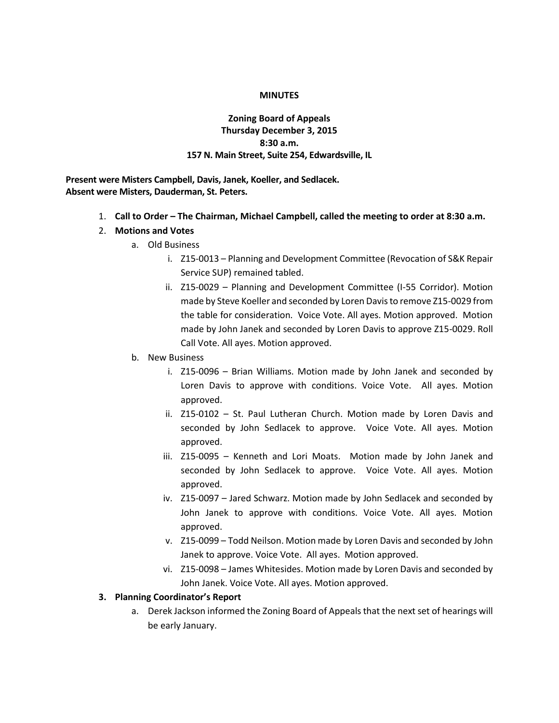## **MINUTES**

## **Zoning Board of Appeals Thursday December 3, 2015 8:30 a.m. 157 N. Main Street, Suite 254, Edwardsville, IL**

**Present were Misters Campbell, Davis, Janek, Koeller, and Sedlacek. Absent were Misters, Dauderman, St. Peters.**

- 1. **Call to Order – The Chairman, Michael Campbell, called the meeting to order at 8:30 a.m.**
- 2. **Motions and Votes**
	- a. Old Business
		- i. Z15-0013 Planning and Development Committee (Revocation of S&K Repair Service SUP) remained tabled.
		- ii. Z15-0029 Planning and Development Committee (I-55 Corridor). Motion made by Steve Koeller and seconded by Loren Davis to remove Z15-0029 from the table for consideration. Voice Vote. All ayes. Motion approved. Motion made by John Janek and seconded by Loren Davis to approve Z15-0029. Roll Call Vote. All ayes. Motion approved.
	- b. New Business
		- i. Z15-0096 Brian Williams. Motion made by John Janek and seconded by Loren Davis to approve with conditions. Voice Vote. All ayes. Motion approved.
		- ii. Z15-0102 St. Paul Lutheran Church. Motion made by Loren Davis and seconded by John Sedlacek to approve. Voice Vote. All ayes. Motion approved.
		- iii. Z15-0095 Kenneth and Lori Moats. Motion made by John Janek and seconded by John Sedlacek to approve. Voice Vote. All ayes. Motion approved.
		- iv. Z15-0097 Jared Schwarz. Motion made by John Sedlacek and seconded by John Janek to approve with conditions. Voice Vote. All ayes. Motion approved.
		- v. Z15-0099 Todd Neilson. Motion made by Loren Davis and seconded by John Janek to approve. Voice Vote. All ayes. Motion approved.
		- vi. Z15-0098 James Whitesides. Motion made by Loren Davis and seconded by John Janek. Voice Vote. All ayes. Motion approved.

## **3. Planning Coordinator's Report**

a. Derek Jackson informed the Zoning Board of Appeals that the next set of hearings will be early January.